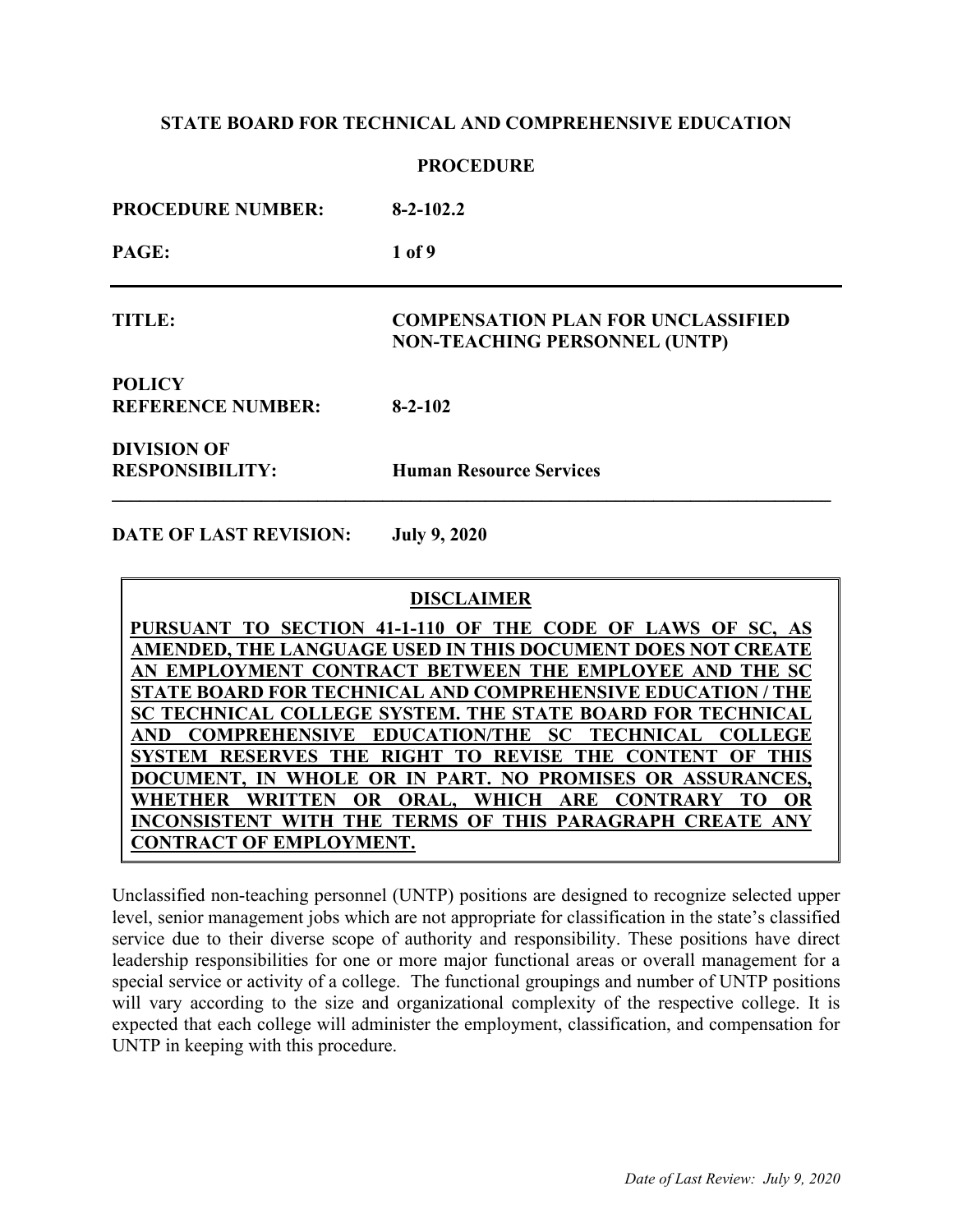| <b>PROCEDURE NUMBER:</b>                     | $8-2-102.2$                                                                       |
|----------------------------------------------|-----------------------------------------------------------------------------------|
| PAGE:                                        | 1 of 9                                                                            |
| <b>TITLE:</b>                                | <b>COMPENSATION PLAN FOR UNCLASSIFIED</b><br><b>NON-TEACHING PERSONNEL (UNTP)</b> |
| <b>POLICY</b><br><b>REFERENCE NUMBER:</b>    | $8 - 2 - 102$                                                                     |
| <b>DIVISION OF</b><br><b>RESPONSIBILITY:</b> | <b>Human Resource Services</b>                                                    |

**DATE OF LAST REVISION: July 9, 2020**

### **DISCLAIMER**

**PURSUANT TO SECTION 41-1-110 OF THE CODE OF LAWS OF SC, AS AMENDED, THE LANGUAGE USED IN THIS DOCUMENT DOES NOT CREATE AN EMPLOYMENT CONTRACT BETWEEN THE EMPLOYEE AND THE SC STATE BOARD FOR TECHNICAL AND COMPREHENSIVE EDUCATION / THE SC TECHNICAL COLLEGE SYSTEM. THE STATE BOARD FOR TECHNICAL AND COMPREHENSIVE EDUCATION/THE SC TECHNICAL COLLEGE SYSTEM RESERVES THE RIGHT TO REVISE THE CONTENT OF THIS DOCUMENT, IN WHOLE OR IN PART. NO PROMISES OR ASSURANCES, WHETHER WRITTEN OR ORAL, WHICH ARE CONTRARY TO OR INCONSISTENT WITH THE TERMS OF THIS PARAGRAPH CREATE ANY CONTRACT OF EMPLOYMENT.**

Unclassified non-teaching personnel (UNTP) positions are designed to recognize selected upper level, senior management jobs which are not appropriate for classification in the state's classified service due to their diverse scope of authority and responsibility. These positions have direct leadership responsibilities for one or more major functional areas or overall management for a special service or activity of a college. The functional groupings and number of UNTP positions will vary according to the size and organizational complexity of the respective college. It is expected that each college will administer the employment, classification, and compensation for UNTP in keeping with this procedure.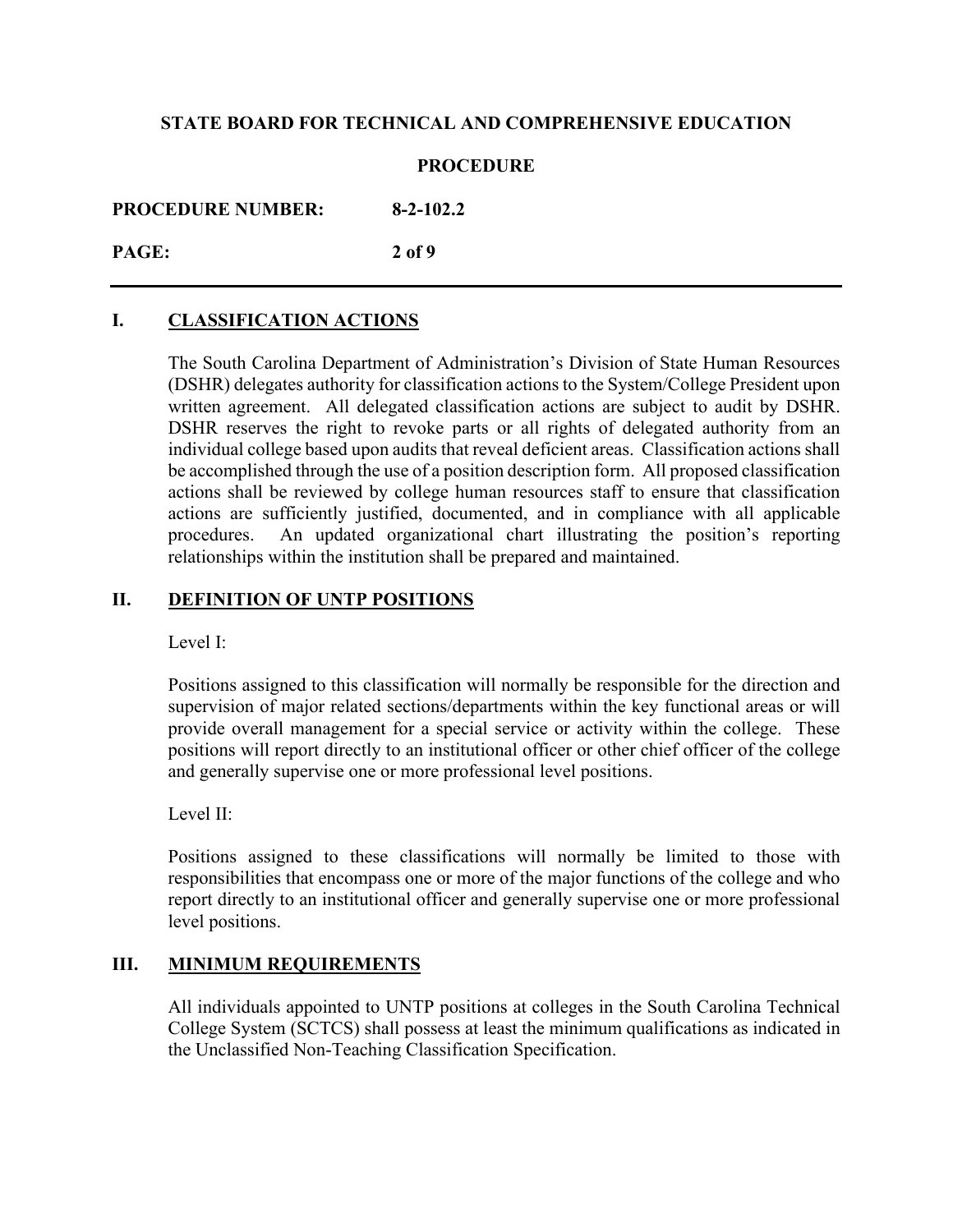## **PROCEDURE**

**PROCEDURE NUMBER: 8-2-102.2**

# **PAGE: 2 of 9**

# **I. CLASSIFICATION ACTIONS**

The South Carolina Department of Administration's Division of State Human Resources (DSHR) delegates authority for classification actions to the System/College President upon written agreement. All delegated classification actions are subject to audit by DSHR. DSHR reserves the right to revoke parts or all rights of delegated authority from an individual college based upon audits that reveal deficient areas. Classification actions shall be accomplished through the use of a position description form. All proposed classification actions shall be reviewed by college human resources staff to ensure that classification actions are sufficiently justified, documented, and in compliance with all applicable procedures. An updated organizational chart illustrating the position's reporting relationships within the institution shall be prepared and maintained.

# **II. DEFINITION OF UNTP POSITIONS**

Level I:

Positions assigned to this classification will normally be responsible for the direction and supervision of major related sections/departments within the key functional areas or will provide overall management for a special service or activity within the college. These positions will report directly to an institutional officer or other chief officer of the college and generally supervise one or more professional level positions.

Level II:

Positions assigned to these classifications will normally be limited to those with responsibilities that encompass one or more of the major functions of the college and who report directly to an institutional officer and generally supervise one or more professional level positions.

## **III. MINIMUM REQUIREMENTS**

All individuals appointed to UNTP positions at colleges in the South Carolina Technical College System (SCTCS) shall possess at least the minimum qualifications as indicated in the Unclassified Non-Teaching Classification Specification.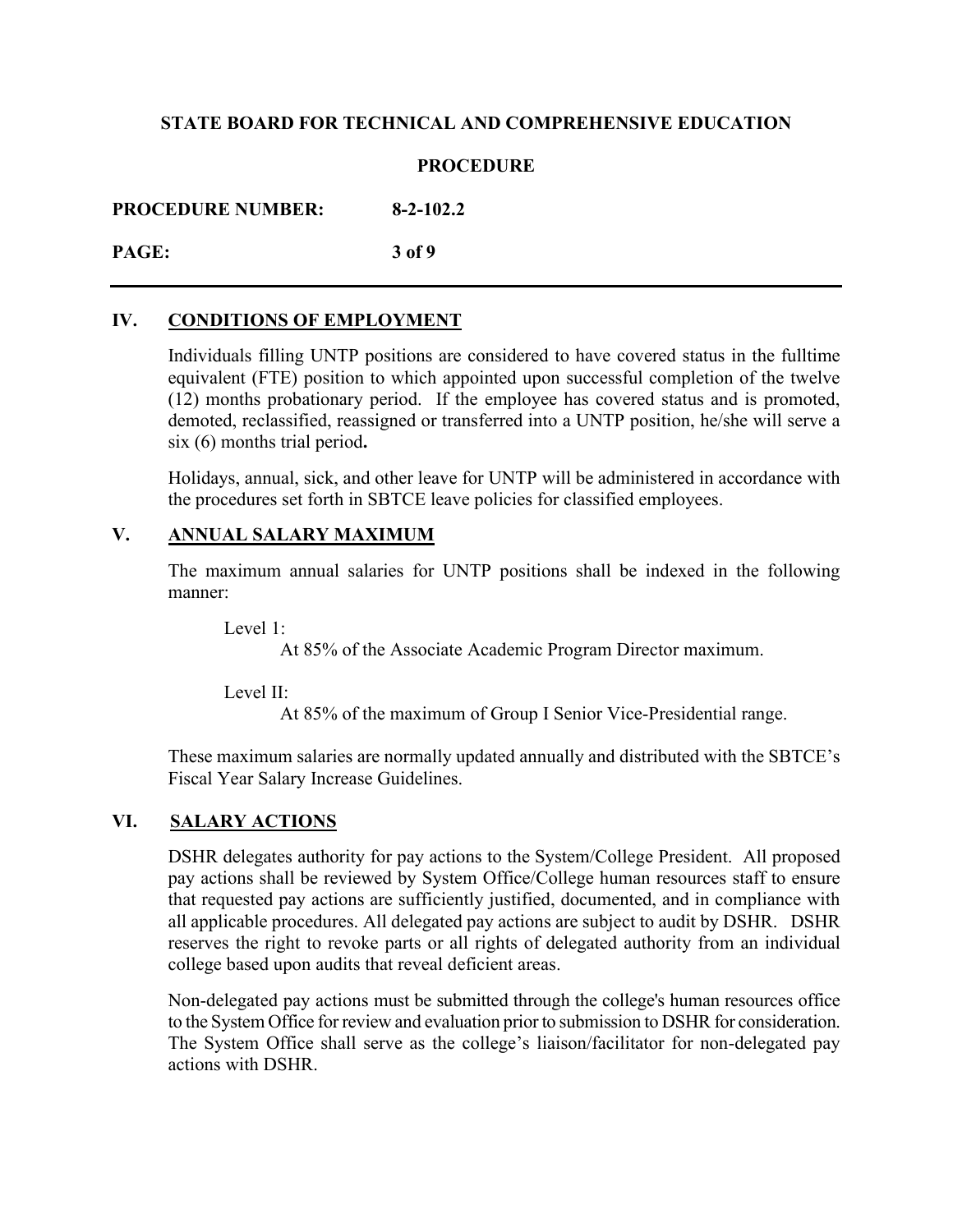## **PROCEDURE**

**PROCEDURE NUMBER: 8-2-102.2**

**PAGE: 3 of 9**

# **IV. CONDITIONS OF EMPLOYMENT**

Individuals filling UNTP positions are considered to have covered status in the fulltime equivalent (FTE) position to which appointed upon successful completion of the twelve (12) months probationary period. If the employee has covered status and is promoted, demoted, reclassified, reassigned or transferred into a UNTP position, he/she will serve a six (6) months trial period**.** 

Holidays, annual, sick, and other leave for UNTP will be administered in accordance with the procedures set forth in SBTCE leave policies for classified employees.

## **V. ANNUAL SALARY MAXIMUM**

The maximum annual salaries for UNTP positions shall be indexed in the following manner:

Level 1:

At 85% of the Associate Academic Program Director maximum.

Level II:

At 85% of the maximum of Group I Senior Vice-Presidential range.

These maximum salaries are normally updated annually and distributed with the SBTCE's Fiscal Year Salary Increase Guidelines.

# **VI. SALARY ACTIONS**

DSHR delegates authority for pay actions to the System/College President. All proposed pay actions shall be reviewed by System Office/College human resources staff to ensure that requested pay actions are sufficiently justified, documented, and in compliance with all applicable procedures. All delegated pay actions are subject to audit by DSHR. DSHR reserves the right to revoke parts or all rights of delegated authority from an individual college based upon audits that reveal deficient areas.

Non-delegated pay actions must be submitted through the college's human resources office to the System Office for review and evaluation prior to submission to DSHR for consideration. The System Office shall serve as the college's liaison/facilitator for non-delegated pay actions with DSHR.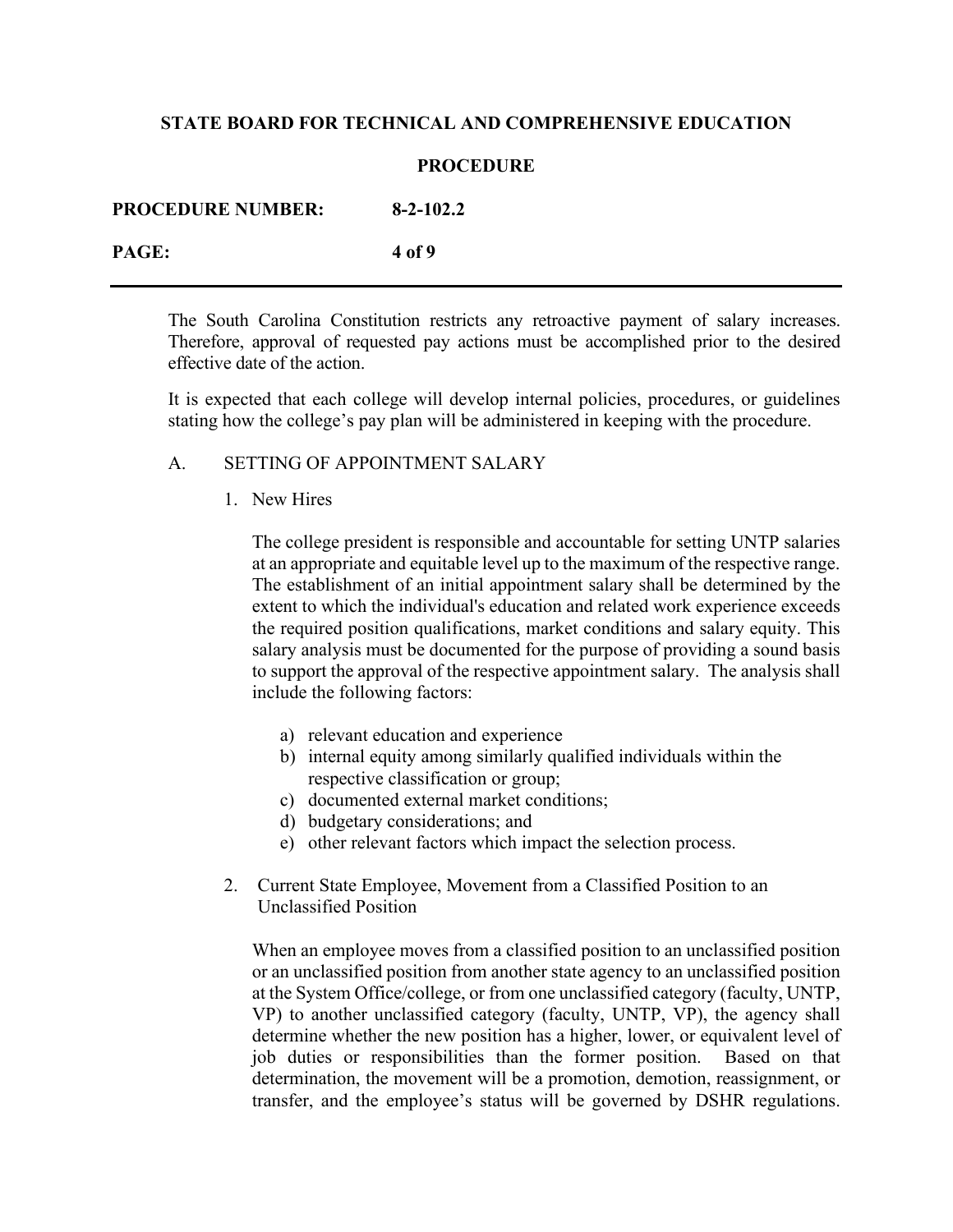### **PROCEDURE**

| <b>PROCEDURE NUMBER:</b> | $8 - 2 - 102.2$ |
|--------------------------|-----------------|
| PAGE:                    | 4 of 9          |

The South Carolina Constitution restricts any retroactive payment of salary increases. Therefore, approval of requested pay actions must be accomplished prior to the desired effective date of the action.

It is expected that each college will develop internal policies, procedures, or guidelines stating how the college's pay plan will be administered in keeping with the procedure.

### A. SETTING OF APPOINTMENT SALARY

1. New Hires

The college president is responsible and accountable for setting UNTP salaries at an appropriate and equitable level up to the maximum of the respective range. The establishment of an initial appointment salary shall be determined by the extent to which the individual's education and related work experience exceeds the required position qualifications, market conditions and salary equity. This salary analysis must be documented for the purpose of providing a sound basis to support the approval of the respective appointment salary. The analysis shall include the following factors:

- a) relevant education and experience
- b) internal equity among similarly qualified individuals within the respective classification or group;
- c) documented external market conditions;
- d) budgetary considerations; and
- e) other relevant factors which impact the selection process.
- 2. Current State Employee, Movement from a Classified Position to an Unclassified Position

When an employee moves from a classified position to an unclassified position or an unclassified position from another state agency to an unclassified position at the System Office/college, or from one unclassified category (faculty, UNTP, VP) to another unclassified category (faculty, UNTP, VP), the agency shall determine whether the new position has a higher, lower, or equivalent level of job duties or responsibilities than the former position. Based on that determination, the movement will be a promotion, demotion, reassignment, or transfer, and the employee's status will be governed by DSHR regulations.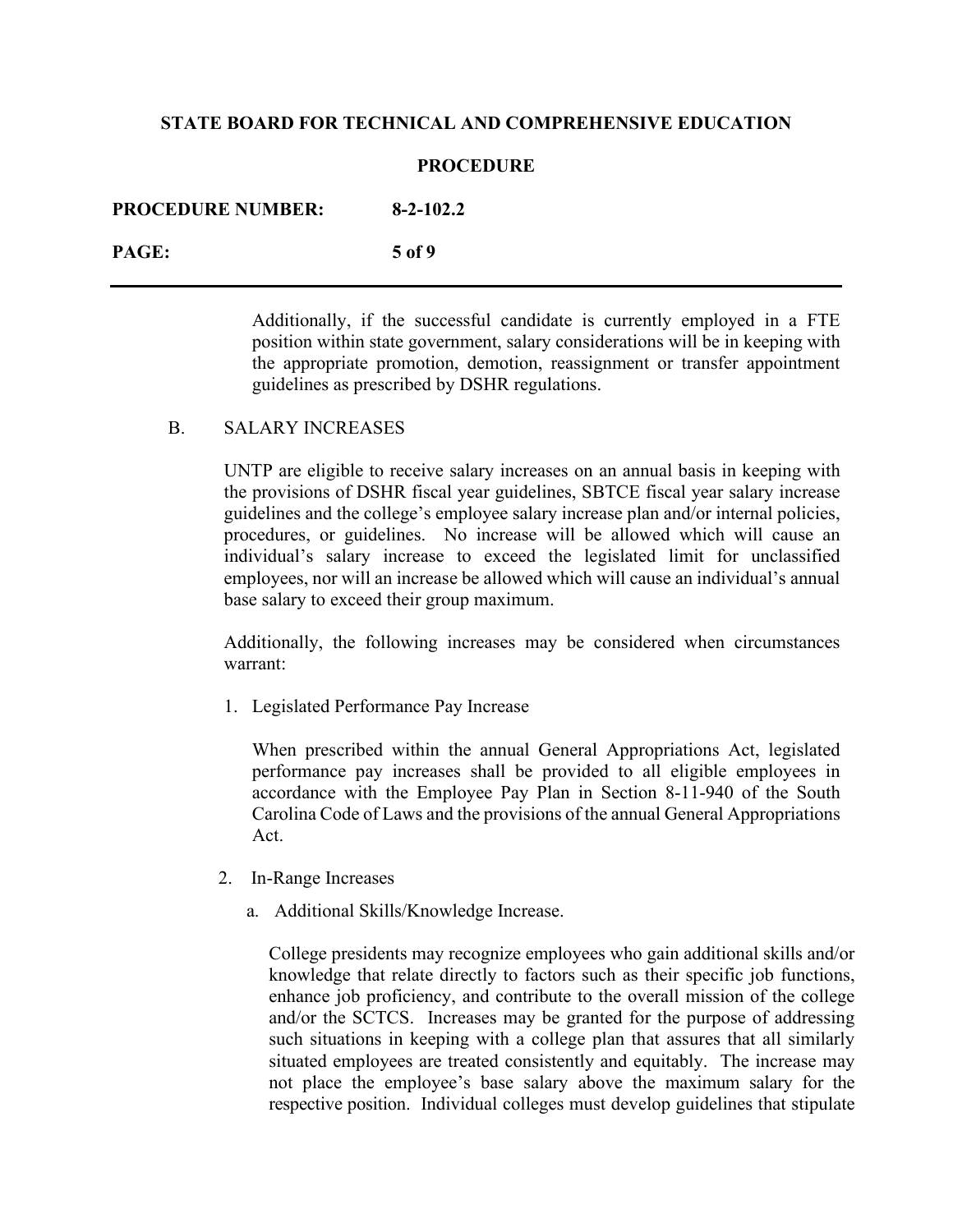#### **PROCEDURE**

| <b>PROCEDURE NUMBER:</b> | $8 - 2 - 102.2$ |
|--------------------------|-----------------|
| PAGE:                    | .5 of 9         |

Additionally, if the successful candidate is currently employed in a FTE position within state government, salary considerations will be in keeping with the appropriate promotion, demotion, reassignment or transfer appointment guidelines as prescribed by DSHR regulations.

#### B. SALARY INCREASES

UNTP are eligible to receive salary increases on an annual basis in keeping with the provisions of DSHR fiscal year guidelines, SBTCE fiscal year salary increase guidelines and the college's employee salary increase plan and/or internal policies, procedures, or guidelines. No increase will be allowed which will cause an individual's salary increase to exceed the legislated limit for unclassified employees, nor will an increase be allowed which will cause an individual's annual base salary to exceed their group maximum.

Additionally, the following increases may be considered when circumstances warrant:

1. Legislated Performance Pay Increase

When prescribed within the annual General Appropriations Act, legislated performance pay increases shall be provided to all eligible employees in accordance with the Employee Pay Plan in Section 8-11-940 of the South Carolina Code of Laws and the provisions of the annual General Appropriations Act.

- 2. In-Range Increases
	- a. Additional Skills/Knowledge Increase.

College presidents may recognize employees who gain additional skills and/or knowledge that relate directly to factors such as their specific job functions, enhance job proficiency, and contribute to the overall mission of the college and/or the SCTCS. Increases may be granted for the purpose of addressing such situations in keeping with a college plan that assures that all similarly situated employees are treated consistently and equitably. The increase may not place the employee's base salary above the maximum salary for the respective position. Individual colleges must develop guidelines that stipulate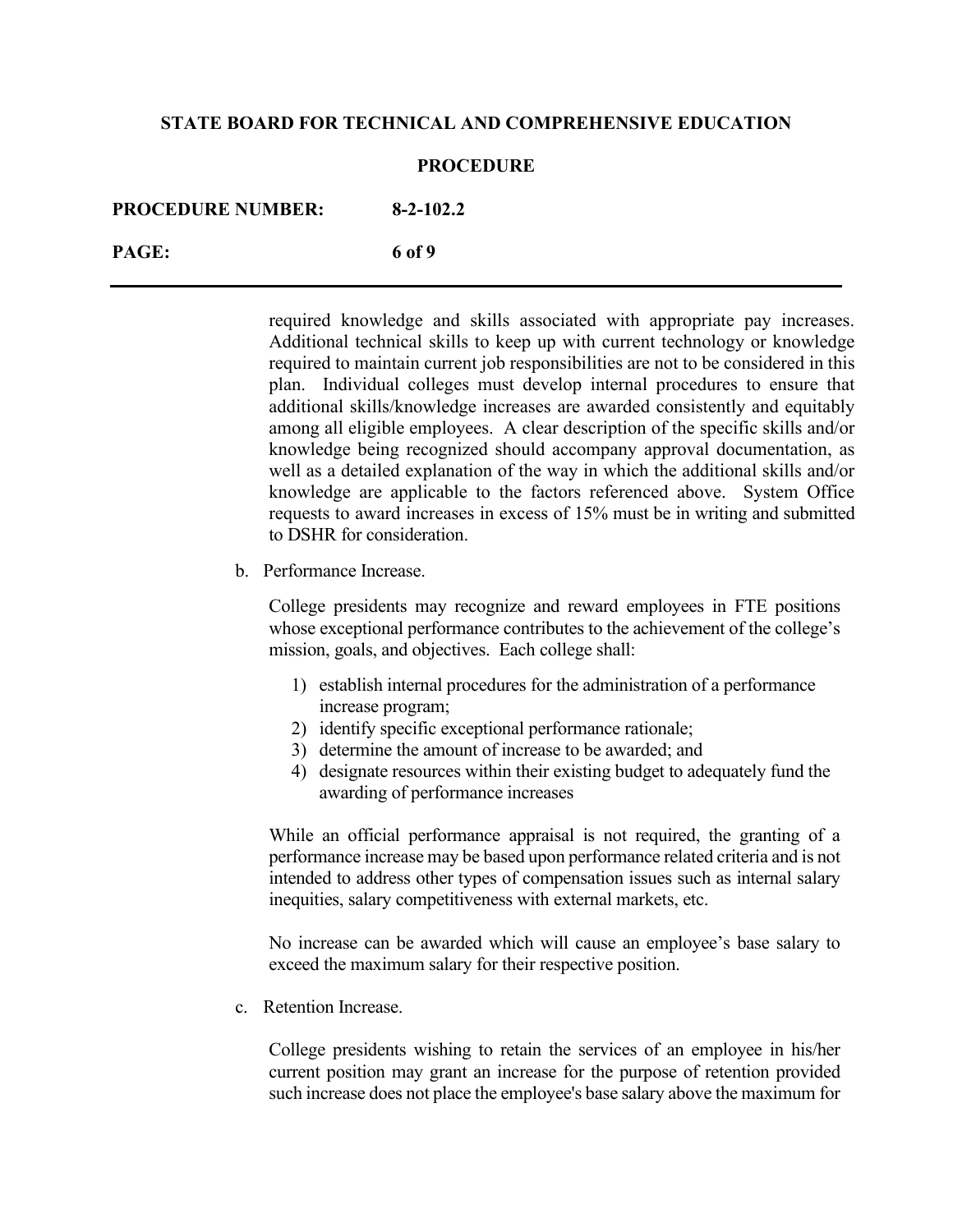#### **PROCEDURE**

| <b>PROCEDURE NUMBER:</b> | $8 - 2 - 102.2$ |
|--------------------------|-----------------|
| PAGE:                    | 6 of 9          |

required knowledge and skills associated with appropriate pay increases. Additional technical skills to keep up with current technology or knowledge required to maintain current job responsibilities are not to be considered in this plan. Individual colleges must develop internal procedures to ensure that additional skills/knowledge increases are awarded consistently and equitably among all eligible employees. A clear description of the specific skills and/or knowledge being recognized should accompany approval documentation, as well as a detailed explanation of the way in which the additional skills and/or knowledge are applicable to the factors referenced above. System Office requests to award increases in excess of 15% must be in writing and submitted to DSHR for consideration.

b. Performance Increase.

College presidents may recognize and reward employees in FTE positions whose exceptional performance contributes to the achievement of the college's mission, goals, and objectives. Each college shall:

- 1) establish internal procedures for the administration of a performance increase program;
- 2) identify specific exceptional performance rationale;
- 3) determine the amount of increase to be awarded; and
- 4) designate resources within their existing budget to adequately fund the awarding of performance increases

While an official performance appraisal is not required, the granting of a performance increase may be based upon performance related criteria and is not intended to address other types of compensation issues such as internal salary inequities, salary competitiveness with external markets, etc.

No increase can be awarded which will cause an employee's base salary to exceed the maximum salary for their respective position.

c. Retention Increase.

College presidents wishing to retain the services of an employee in his/her current position may grant an increase for the purpose of retention provided such increase does not place the employee's base salary above the maximum for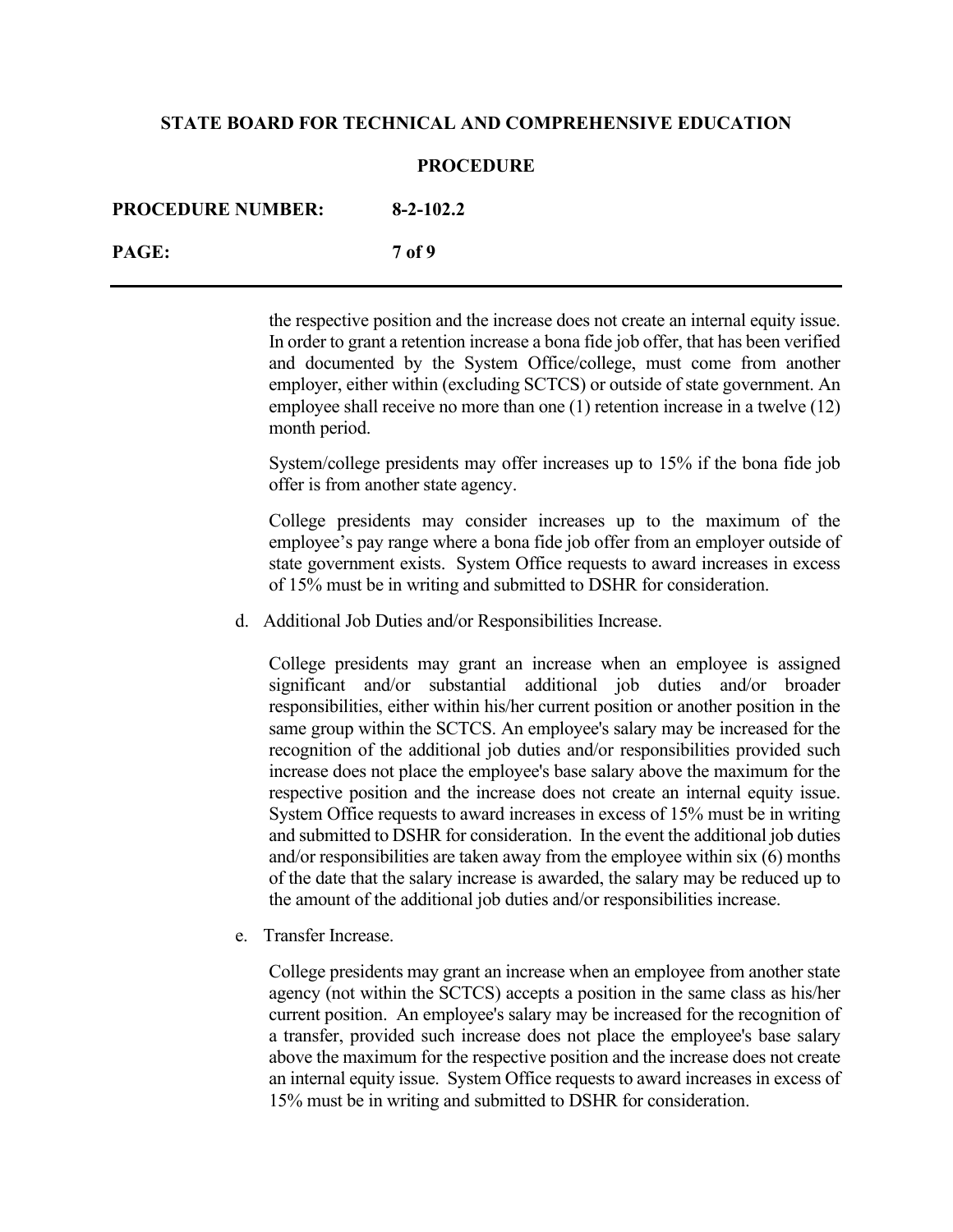#### **PROCEDURE**

| <b>PROCEDURE NUMBER:</b> | $8 - 2 - 102.2$ |
|--------------------------|-----------------|
| PAGE:                    | 7 of 9          |

the respective position and the increase does not create an internal equity issue. In order to grant a retention increase a bona fide job offer, that has been verified and documented by the System Office/college, must come from another employer, either within (excluding SCTCS) or outside of state government. An employee shall receive no more than one (1) retention increase in a twelve (12) month period.

System/college presidents may offer increases up to 15% if the bona fide job offer is from another state agency.

College presidents may consider increases up to the maximum of the employee's pay range where a bona fide job offer from an employer outside of state government exists. System Office requests to award increases in excess of 15% must be in writing and submitted to DSHR for consideration.

d. Additional Job Duties and/or Responsibilities Increase.

College presidents may grant an increase when an employee is assigned significant and/or substantial additional job duties and/or broader responsibilities, either within his/her current position or another position in the same group within the SCTCS. An employee's salary may be increased for the recognition of the additional job duties and/or responsibilities provided such increase does not place the employee's base salary above the maximum for the respective position and the increase does not create an internal equity issue. System Office requests to award increases in excess of 15% must be in writing and submitted to DSHR for consideration. In the event the additional job duties and/or responsibilities are taken away from the employee within six (6) months of the date that the salary increase is awarded, the salary may be reduced up to the amount of the additional job duties and/or responsibilities increase.

e. Transfer Increase.

College presidents may grant an increase when an employee from another state agency (not within the SCTCS) accepts a position in the same class as his/her current position. An employee's salary may be increased for the recognition of a transfer, provided such increase does not place the employee's base salary above the maximum for the respective position and the increase does not create an internal equity issue. System Office requests to award increases in excess of 15% must be in writing and submitted to DSHR for consideration.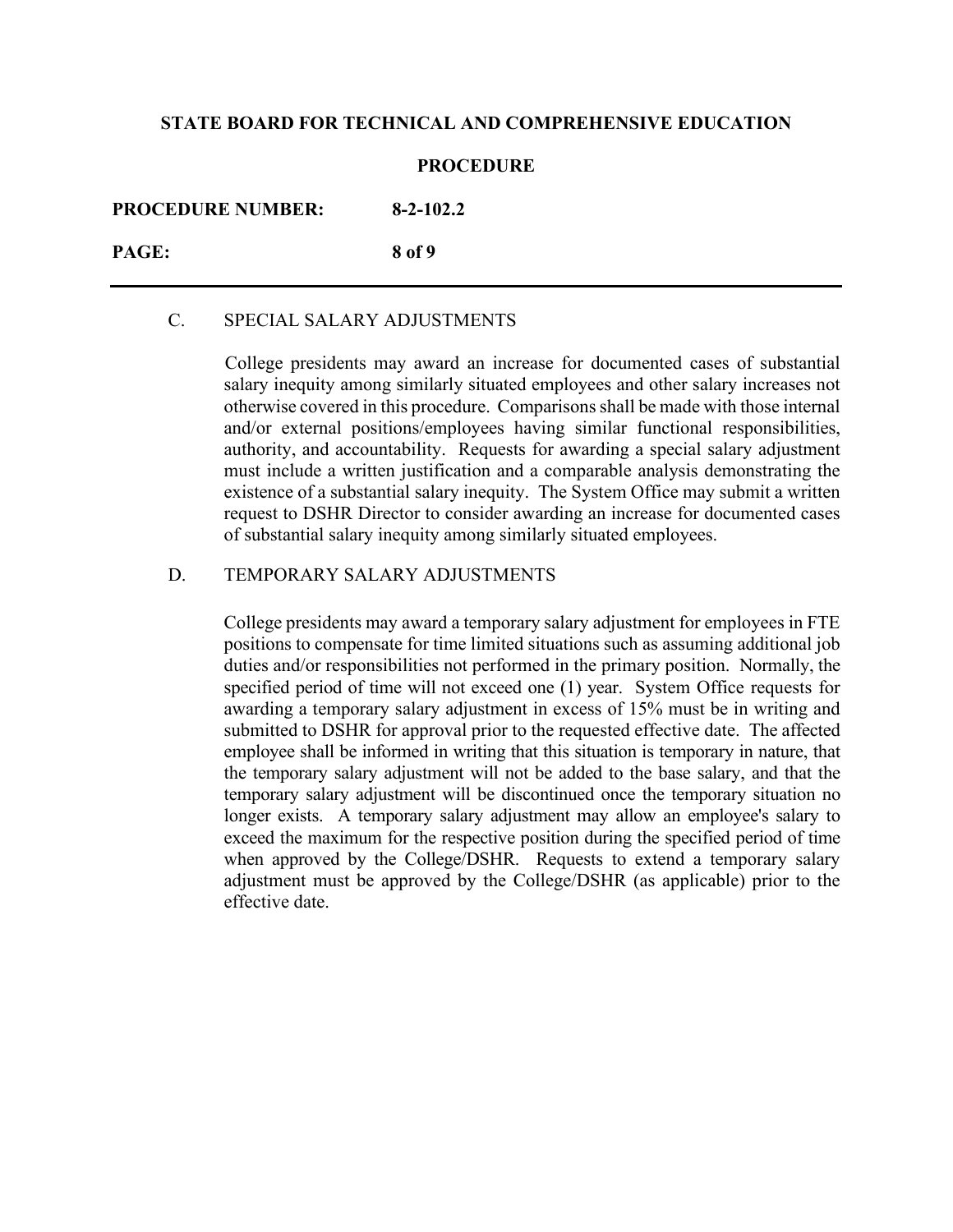#### **PROCEDURE**

**PROCEDURE NUMBER: 8-2-102.2**

**PAGE: 8 of 9**

## C. SPECIAL SALARY ADJUSTMENTS

 College presidents may award an increase for documented cases of substantial salary inequity among similarly situated employees and other salary increases not otherwise covered in this procedure. Comparisons shall be made with those internal and/or external positions/employees having similar functional responsibilities, authority, and accountability. Requests for awarding a special salary adjustment must include a written justification and a comparable analysis demonstrating the existence of a substantial salary inequity. The System Office may submit a written request to DSHR Director to consider awarding an increase for documented cases of substantial salary inequity among similarly situated employees.

## D. TEMPORARY SALARY ADJUSTMENTS

College presidents may award a temporary salary adjustment for employees in FTE positions to compensate for time limited situations such as assuming additional job duties and/or responsibilities not performed in the primary position. Normally, the specified period of time will not exceed one (1) year. System Office requests for awarding a temporary salary adjustment in excess of 15% must be in writing and submitted to DSHR for approval prior to the requested effective date. The affected employee shall be informed in writing that this situation is temporary in nature, that the temporary salary adjustment will not be added to the base salary, and that the temporary salary adjustment will be discontinued once the temporary situation no longer exists. A temporary salary adjustment may allow an employee's salary to exceed the maximum for the respective position during the specified period of time when approved by the College/DSHR. Requests to extend a temporary salary adjustment must be approved by the College/DSHR (as applicable) prior to the effective date.